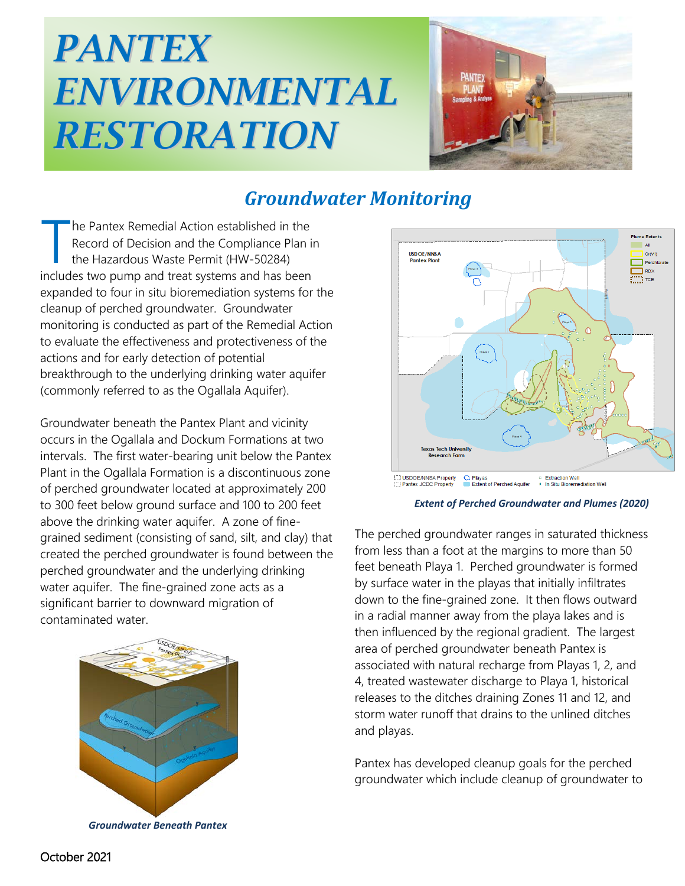## *PANTEX ENVIRONMENTAL RESTORATION*



## *Groundwater Monitoring*

he Pantex Remedial Action established in the Record of Decision and the Compliance Plan in the Hazardous Waste Permit (HW-50284) The Pantex Remedial Action established in the<br>
Record of Decision and the Compliance Plan is<br>
the Hazardous Waste Permit (HW-50284)<br>
includes two pump and treat systems and has been expanded to four in situ bioremediation systems for the cleanup of perched groundwater. Groundwater monitoring is conducted as part of the Remedial Action to evaluate the effectiveness and protectiveness of the actions and for early detection of potential breakthrough to the underlying drinking water aquifer (commonly referred to as the Ogallala Aquifer).

Groundwater beneath the Pantex Plant and vicinity occurs in the Ogallala and Dockum Formations at two intervals. The first water-bearing unit below the Pantex Plant in the Ogallala Formation is a discontinuous zone of perched groundwater located at approximately 200 to 300 feet below ground surface and 100 to 200 feet above the drinking water aquifer. A zone of finegrained sediment (consisting of sand, silt, and clay) that created the perched groundwater is found between the perched groundwater and the underlying drinking water aquifer. The fine-grained zone acts as a significant barrier to downward migration of contaminated water.



*Groundwater Beneath Pantex*



*Extent of Perched Groundwater and Plumes (2020)*

The perched groundwater ranges in saturated thickness from less than a foot at the margins to more than 50 feet beneath Playa 1. Perched groundwater is formed by surface water in the playas that initially infiltrates down to the fine-grained zone. It then flows outward in a radial manner away from the playa lakes and is then influenced by the regional gradient. The largest area of perched groundwater beneath Pantex is associated with natural recharge from Playas 1, 2, and 4, treated wastewater discharge to Playa 1, historical releases to the ditches draining Zones 11 and 12, and storm water runoff that drains to the unlined ditches and playas.

Pantex has developed cleanup goals for the perched groundwater which include cleanup of groundwater to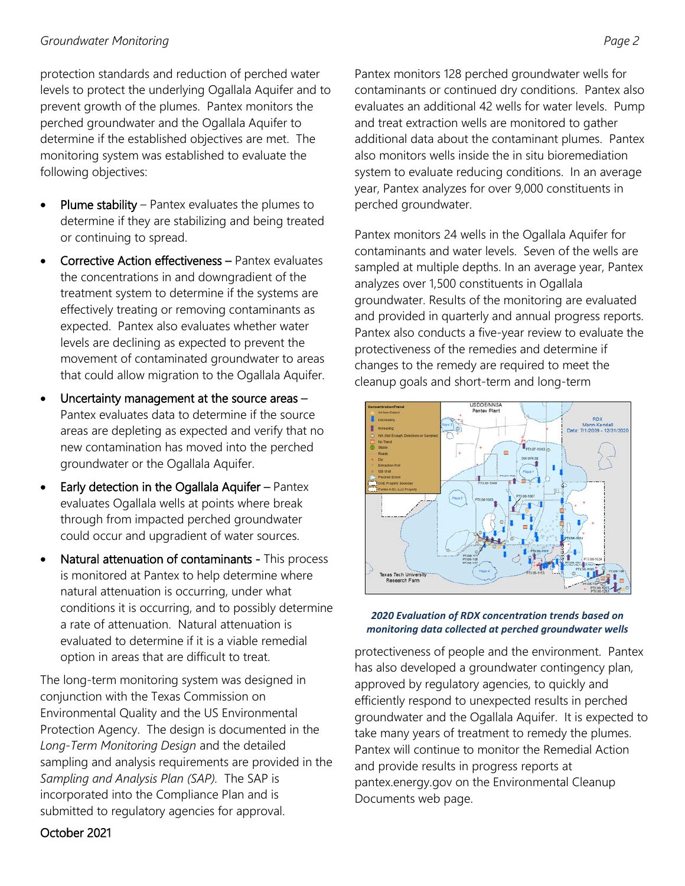## *Groundwater Monitoring Page 2*

protection standards and reduction of perched water levels to protect the underlying Ogallala Aquifer and to prevent growth of the plumes. Pantex monitors the perched groundwater and the Ogallala Aquifer to determine if the established objectives are met. The monitoring system was established to evaluate the following objectives:

- Plume stability Pantex evaluates the plumes to determine if they are stabilizing and being treated or continuing to spread.
- Corrective Action effectiveness Pantex evaluates the concentrations in and downgradient of the treatment system to determine if the systems are effectively treating or removing contaminants as expected. Pantex also evaluates whether water levels are declining as expected to prevent the movement of contaminated groundwater to areas that could allow migration to the Ogallala Aquifer.
- Uncertainty management at the source areas  $-$ Pantex evaluates data to determine if the source areas are depleting as expected and verify that no new contamination has moved into the perched groundwater or the Ogallala Aquifer.
- **Early detection in the Ogallala Aquifer Pantex** evaluates Ogallala wells at points where break through from impacted perched groundwater could occur and upgradient of water sources.
- Natural attenuation of contaminants This process is monitored at Pantex to help determine where natural attenuation is occurring, under what conditions it is occurring, and to possibly determine a rate of attenuation. Natural attenuation is evaluated to determine if it is a viable remedial option in areas that are difficult to treat.

The long-term monitoring system was designed in conjunction with the Texas Commission on Environmental Quality and the US Environmental Protection Agency. The design is documented in the *Long-Term Monitoring Design* and the detailed sampling and analysis requirements are provided in the *Sampling and Analysis Plan (SAP).* The SAP is incorporated into the Compliance Plan and is submitted to regulatory agencies for approval.

Pantex monitors 128 perched groundwater wells for contaminants or continued dry conditions. Pantex also evaluates an additional 42 wells for water levels. Pump and treat extraction wells are monitored to gather additional data about the contaminant plumes. Pantex also monitors wells inside the in situ bioremediation system to evaluate reducing conditions. In an average year, Pantex analyzes for over 9,000 constituents in perched groundwater.

Pantex monitors 24 wells in the Ogallala Aquifer for contaminants and water levels. Seven of the wells are sampled at multiple depths. In an average year, Pantex analyzes over 1,500 constituents in Ogallala groundwater. Results of the monitoring are evaluated and provided in quarterly and annual progress reports. Pantex also conducts a five-year review to evaluate the protectiveness of the remedies and determine if changes to the remedy are required to meet the cleanup goals and short-term and long-term





protectiveness of people and the environment. Pantex has also developed a groundwater contingency plan, approved by regulatory agencies, to quickly and efficiently respond to unexpected results in perched groundwater and the Ogallala Aquifer. It is expected to take many years of treatment to remedy the plumes. Pantex will continue to monitor the Remedial Action and provide results in progress reports at pantex.energy.gov on the Environmental Cleanup Documents web page.

## October 2021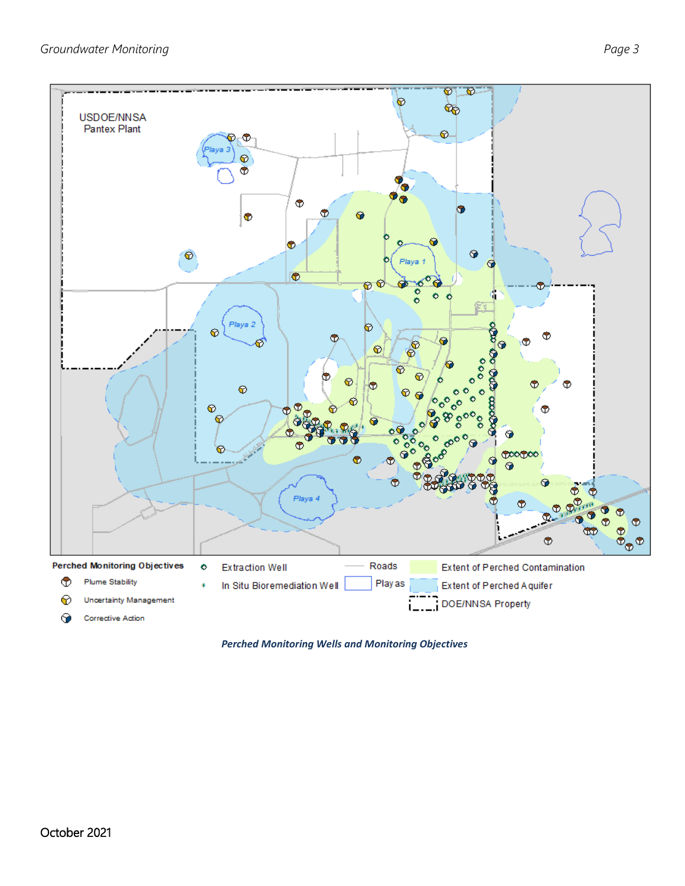

*Perched Monitoring Wells and Monitoring Objectives*